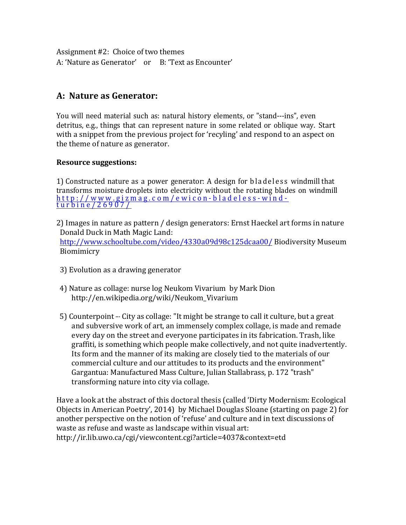Assignment  $#2$ : Choice of two themes A: 'Nature as Generator' or B: 'Text as Encounter'

# **A: Nature as Generator:**

You will need material such as: natural history elements, or "stand---ins", even detritus, e.g., things that can represent nature in some related or oblique way. Start with a snippet from the previous project for 'recyling' and respond to an aspect on the theme of nature as generator.

### **Resource suggestions:**

1) Constructed nature as a power generator: A design for bladeless windmill that transforms moisture droplets into electricity without the rotating blades on windmill http://www.gizmag.com/ewicon - bladeless - wind - turbine/26907/

- 2) Images in nature as pattern / design generators: Ernst Haeckel art forms in nature Donald Duck in Math Magic Land: http://www.schooltube.com/video/4330a09d98c125dcaa00/Biodiversity Museum Biomimicry
- 3) Evolution as a drawing generator
- 4) Nature as collage: nurse log Neukom Vivarium by Mark Dion http://en.wikipedia.org/wiki/Neukom\_Vivarium
- 5) Counterpoint --- City as collage: "It might be strange to call it culture, but a great and subversive work of art, an immensely complex collage, is made and remade every day on the street and everyone participates in its fabrication. Trash, like graffiti, is something which people make collectively, and not quite inadvertently. Its form and the manner of its making are closely tied to the materials of our commercial culture and our attitudes to its products and the environment" Gargantua: Manufactured Mass Culture, Julian Stallabrass, p. 172 "trash" transforming nature into city via collage.

Have a look at the abstract of this doctoral thesis (called 'Dirty Modernism: Ecological Objects in American Poetry', 2014) by Michael Douglas Sloane (starting on page 2) for another perspective on the notion of 'refuse' and culture and in text discussions of waste as refuse and waste as landscape within visual art: http://ir.lib.uwo.ca/cgi/viewcontent.cgi?article=4037&context=etd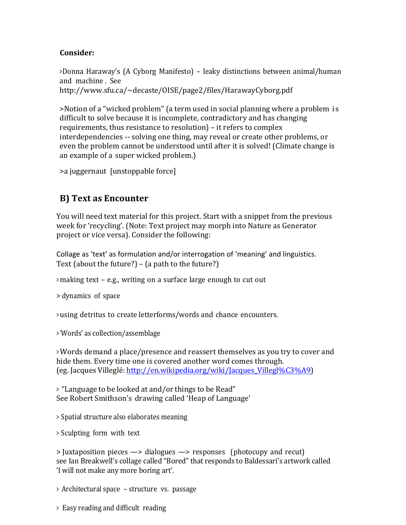#### **Consider:**

>Donna Haraway's (A Cyborg Manifesto) – leaky distinctions between animal/human and machine . See http://www.sfu.ca/~decaste/OISE/page2/files/HarawayCyborg.pdf

>Notion of a "wicked problem" (a term used in social planning where a problem is difficult to solve because it is incomplete, contradictory and has changing requirements, thus resistance to resolution) – it refers to complex interdependencies -- solving one thing, may reveal or create other problems, or even the problem cannot be understood until after it is solved! (Climate change is an example of a super wicked problem.)

 $>$ a juggernaut [unstoppable force]

## **B) Text as Encounter**

You will need text material for this project. Start with a snippet from the previous week for 'recycling'. (Note: Text project may morph into Nature as Generator project or vice versa). Consider the following:

Collage as 'text' as formulation and/or interrogation of 'meaning' and linguistics. Text (about the future?)  $-$  (a path to the future?)

> making text - e.g., writing on a surface large enough to cut out

> dynamics of space

> using detritus to create letterforms/words and chance encounters.

> 'Words' as collection/assemblage

> Words demand a place/presence and reassert themselves as you try to cover and hide them. Every time one is covered another word comes through. (eg. Jacques Villeglé: http://en.wikipedia.org/wiki/Jacques\_Villegl%C3%A9) 

<sup>&</sup>gt; "Language to be looked at and/or things to be Read" See Robert Smithson's drawing called 'Heap of Language'

> Spatial structure also elaborates meaning

> Sculpting form with text

 $>$  Juxtaposition pieces  $\rightarrow$  dialogues  $\rightarrow$  responses (photocopy and recut) see Ian Breakwell's collage called "Bored" that responds to Baldessari's artwork called 'I will not make any more boring art'.

<sup>&</sup>gt; Architectural space – structure vs. passage

<sup>&</sup>gt; Easy reading and difficult reading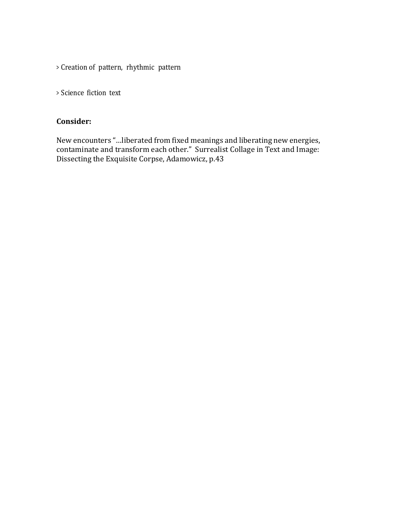> Creation of pattern, rhythmic pattern

> Science fiction text

## **Consider:**

New encounters "…liberated from fixed meanings and liberating new energies, contaminate and transform each other." Surrealist Collage in Text and Image: Dissecting the Exquisite Corpse, Adamowicz, p.43